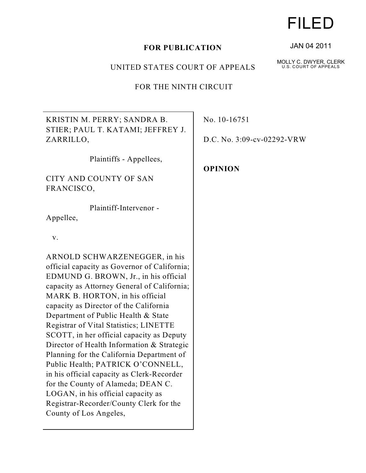## **FOR PUBLICATION**

## UNITED STATES COURT OF APPEALS

FOR THE NINTH CIRCUIT

KRISTIN M. PERRY; SANDRA B. STIER; PAUL T. KATAMI; JEFFREY J. ZARRILLO,

Plaintiffs - Appellees,

CITY AND COUNTY OF SAN FRANCISCO,

Plaintiff-Intervenor -

Appellee,

v.

ARNOLD SCHWARZENEGGER, in his official capacity as Governor of California; EDMUND G. BROWN, Jr., in his official capacity as Attorney General of California; MARK B. HORTON, in his official capacity as Director of the California Department of Public Health & State Registrar of Vital Statistics; LINETTE SCOTT, in her official capacity as Deputy Director of Health Information & Strategic Planning for the California Department of Public Health; PATRICK O'CONNELL, in his official capacity as Clerk-Recorder for the County of Alameda; DEAN C. LOGAN, in his official capacity as Registrar-Recorder/County Clerk for the County of Los Angeles,

No. 10-16751

D.C. No. 3:09-cv-02292-VRW

**OPINION**

# FILED

JAN 04 2011

MOLLY C. DWYER, CLERK U.S. COURT OF APPEALS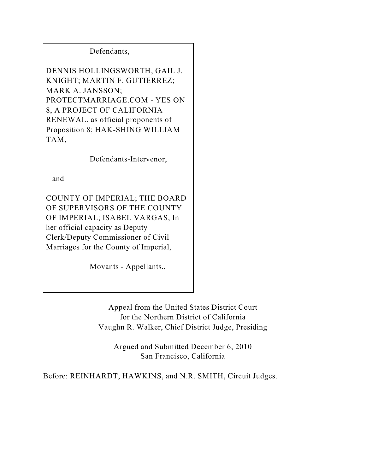Defendants,

DENNIS HOLLINGSWORTH; GAIL J. KNIGHT; MARTIN F. GUTIERREZ; MARK A. JANSSON; PROTECTMARRIAGE.COM - YES ON 8, A PROJECT OF CALIFORNIA RENEWAL, as official proponents of Proposition 8; HAK-SHING WILLIAM TAM,

Defendants-Intervenor,

and

COUNTY OF IMPERIAL; THE BOARD OF SUPERVISORS OF THE COUNTY OF IMPERIAL; ISABEL VARGAS, In her official capacity as Deputy Clerk/Deputy Commissioner of Civil Marriages for the County of Imperial,

Movants - Appellants.,

Appeal from the United States District Court for the Northern District of California Vaughn R. Walker, Chief District Judge, Presiding

Argued and Submitted December 6, 2010 San Francisco, California

Before: REINHARDT, HAWKINS, and N.R. SMITH, Circuit Judges.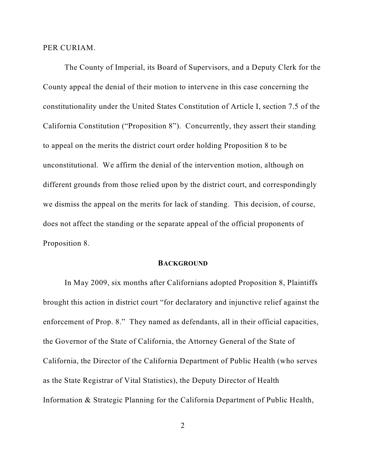PER CURIAM.

The County of Imperial, its Board of Supervisors, and a Deputy Clerk for the County appeal the denial of their motion to intervene in this case concerning the constitutionality under the United States Constitution of Article I, section 7.5 of the California Constitution ("Proposition 8"). Concurrently, they assert their standing to appeal on the merits the district court order holding Proposition 8 to be unconstitutional. We affirm the denial of the intervention motion, although on different grounds from those relied upon by the district court, and correspondingly we dismiss the appeal on the merits for lack of standing. This decision, of course, does not affect the standing or the separate appeal of the official proponents of Proposition 8.

#### **BACKGROUND**

In May 2009, six months after Californians adopted Proposition 8, Plaintiffs brought this action in district court "for declaratory and injunctive relief against the enforcement of Prop. 8." They named as defendants, all in their official capacities, the Governor of the State of California, the Attorney General of the State of California, the Director of the California Department of Public Health (who serves as the State Registrar of Vital Statistics), the Deputy Director of Health Information & Strategic Planning for the California Department of Public Health,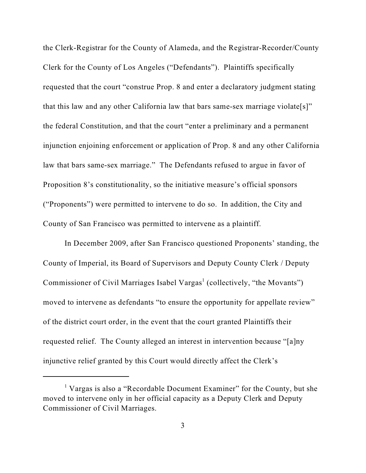the Clerk-Registrar for the County of Alameda, and the Registrar-Recorder/County Clerk for the County of Los Angeles ("Defendants"). Plaintiffs specifically requested that the court "construe Prop. 8 and enter a declaratory judgment stating that this law and any other California law that bars same-sex marriage violate[s]" the federal Constitution, and that the court "enter a preliminary and a permanent injunction enjoining enforcement or application of Prop. 8 and any other California law that bars same-sex marriage." The Defendants refused to argue in favor of Proposition 8's constitutionality, so the initiative measure's official sponsors ("Proponents") were permitted to intervene to do so. In addition, the City and County of San Francisco was permitted to intervene as a plaintiff.

In December 2009, after San Francisco questioned Proponents' standing, the County of Imperial, its Board of Supervisors and Deputy County Clerk / Deputy Commissioner of Civil Marriages Isabel Vargas<sup>1</sup> (collectively, "the Movants") moved to intervene as defendants "to ensure the opportunity for appellate review" of the district court order, in the event that the court granted Plaintiffs their requested relief. The County alleged an interest in intervention because "[a]ny injunctive relief granted by this Court would directly affect the Clerk's

<sup>&</sup>lt;sup> $1$ </sup> Vargas is also a "Recordable Document Examiner" for the County, but she moved to intervene only in her official capacity as a Deputy Clerk and Deputy Commissioner of Civil Marriages.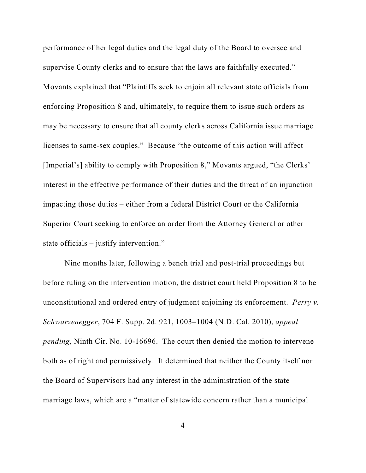performance of her legal duties and the legal duty of the Board to oversee and supervise County clerks and to ensure that the laws are faithfully executed." Movants explained that "Plaintiffs seek to enjoin all relevant state officials from enforcing Proposition 8 and, ultimately, to require them to issue such orders as may be necessary to ensure that all county clerks across California issue marriage licenses to same-sex couples." Because "the outcome of this action will affect [Imperial's] ability to comply with Proposition 8," Movants argued, "the Clerks' interest in the effective performance of their duties and the threat of an injunction impacting those duties – either from a federal District Court or the California Superior Court seeking to enforce an order from the Attorney General or other state officials – justify intervention."

Nine months later, following a bench trial and post-trial proceedings but before ruling on the intervention motion, the district court held Proposition 8 to be unconstitutional and ordered entry of judgment enjoining its enforcement. *Perry v. Schwarzenegger*, 704 F. Supp. 2d. 921, 1003–1004 (N.D. Cal. 2010), *appeal pending*, Ninth Cir. No. 10-16696. The court then denied the motion to intervene both as of right and permissively. It determined that neither the County itself nor the Board of Supervisors had any interest in the administration of the state marriage laws, which are a "matter of statewide concern rather than a municipal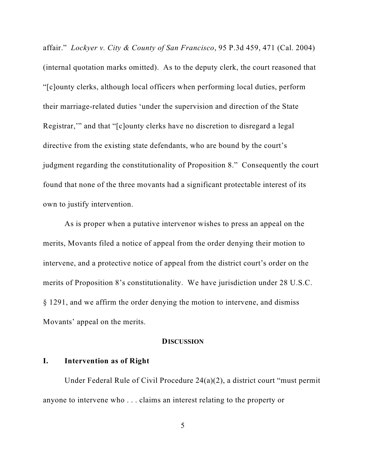affair." *Lockyer v. City & County of San Francisco*, 95 P.3d 459, 471 (Cal. 2004) (internal quotation marks omitted). As to the deputy clerk, the court reasoned that "[c]ounty clerks, although local officers when performing local duties, perform their marriage-related duties 'under the supervision and direction of the State Registrar,'" and that "[c]ounty clerks have no discretion to disregard a legal directive from the existing state defendants, who are bound by the court's judgment regarding the constitutionality of Proposition 8." Consequently the court found that none of the three movants had a significant protectable interest of its own to justify intervention.

As is proper when a putative intervenor wishes to press an appeal on the merits, Movants filed a notice of appeal from the order denying their motion to intervene, and a protective notice of appeal from the district court's order on the merits of Proposition 8's constitutionality. We have jurisdiction under 28 U.S.C. § 1291, and we affirm the order denying the motion to intervene, and dismiss Movants' appeal on the merits.

## **DISCUSSION**

## **I. Intervention as of Right**

Under Federal Rule of Civil Procedure 24(a)(2), a district court "must permit anyone to intervene who . . . claims an interest relating to the property or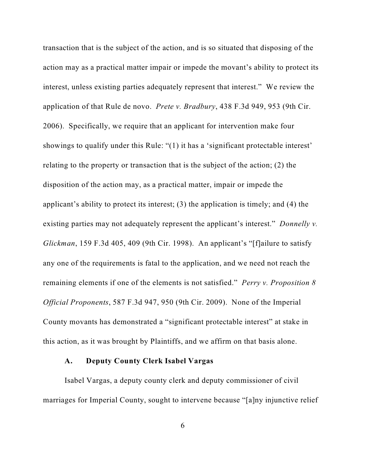transaction that is the subject of the action, and is so situated that disposing of the action may as a practical matter impair or impede the movant's ability to protect its interest, unless existing parties adequately represent that interest." We review the application of that Rule de novo. *Prete v. Bradbury*, 438 F.3d 949, 953 (9th Cir. 2006). Specifically, we require that an applicant for intervention make four showings to qualify under this Rule: "(1) it has a 'significant protectable interest' relating to the property or transaction that is the subject of the action; (2) the disposition of the action may, as a practical matter, impair or impede the applicant's ability to protect its interest; (3) the application is timely; and (4) the existing parties may not adequately represent the applicant's interest." *Donnelly v. Glickman*, 159 F.3d 405, 409 (9th Cir. 1998). An applicant's "[f]ailure to satisfy any one of the requirements is fatal to the application, and we need not reach the remaining elements if one of the elements is not satisfied." *Perry v. Proposition 8 Official Proponents*, 587 F.3d 947, 950 (9th Cir. 2009). None of the Imperial County movants has demonstrated a "significant protectable interest" at stake in this action, as it was brought by Plaintiffs, and we affirm on that basis alone.

## **A. Deputy County Clerk Isabel Vargas**

Isabel Vargas, a deputy county clerk and deputy commissioner of civil marriages for Imperial County, sought to intervene because "[a]ny injunctive relief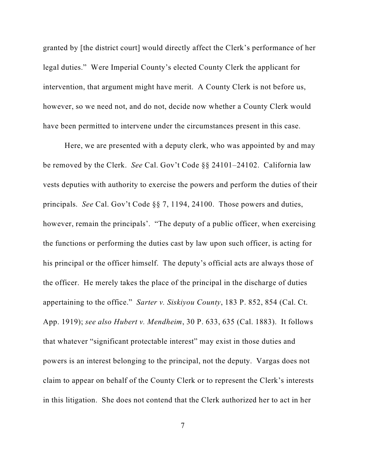granted by [the district court] would directly affect the Clerk's performance of her legal duties." Were Imperial County's elected County Clerk the applicant for intervention, that argument might have merit. A County Clerk is not before us, however, so we need not, and do not, decide now whether a County Clerk would have been permitted to intervene under the circumstances present in this case.

Here, we are presented with a deputy clerk, who was appointed by and may be removed by the Clerk. *See* Cal. Gov't Code §§ 24101–24102. California law vests deputies with authority to exercise the powers and perform the duties of their principals. *See* Cal. Gov't Code §§ 7, 1194, 24100. Those powers and duties, however, remain the principals'. "The deputy of a public officer, when exercising the functions or performing the duties cast by law upon such officer, is acting for his principal or the officer himself. The deputy's official acts are always those of the officer. He merely takes the place of the principal in the discharge of duties appertaining to the office." *Sarter v. Siskiyou County*, 183 P. 852, 854 (Cal. Ct. App. 1919); *see also Hubert v. Mendheim*, 30 P. 633, 635 (Cal. 1883). It follows that whatever "significant protectable interest" may exist in those duties and powers is an interest belonging to the principal, not the deputy. Vargas does not claim to appear on behalf of the County Clerk or to represent the Clerk's interests in this litigation. She does not contend that the Clerk authorized her to act in her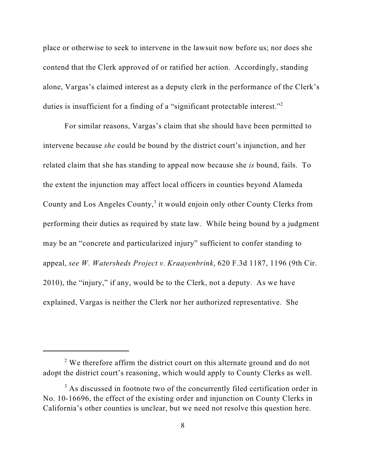place or otherwise to seek to intervene in the lawsuit now before us; nor does she contend that the Clerk approved of or ratified her action. Accordingly, standing alone, Vargas's claimed interest as a deputy clerk in the performance of the Clerk's duties is insufficient for a finding of a "significant protectable interest."<sup>2</sup>

For similar reasons, Vargas's claim that she should have been permitted to intervene because *she* could be bound by the district court's injunction, and her related claim that she has standing to appeal now because she *is* bound, fails. To the extent the injunction may affect local officers in counties beyond Alameda County and Los Angeles County,<sup>3</sup> it would enjoin only other County Clerks from performing their duties as required by state law. While being bound by a judgment may be an "concrete and particularized injury" sufficient to confer standing to appeal, *see W. Watersheds Project v. Kraayenbrink*, 620 F.3d 1187, 1196 (9th Cir. 2010), the "injury," if any, would be to the Clerk, not a deputy. As we have explained, Vargas is neither the Clerk nor her authorized representative. She

 $2$  We therefore affirm the district court on this alternate ground and do not adopt the district court's reasoning, which would apply to County Clerks as well.

 $3$  As discussed in footnote two of the concurrently filed certification order in No. 10-16696, the effect of the existing order and injunction on County Clerks in California's other counties is unclear, but we need not resolve this question here.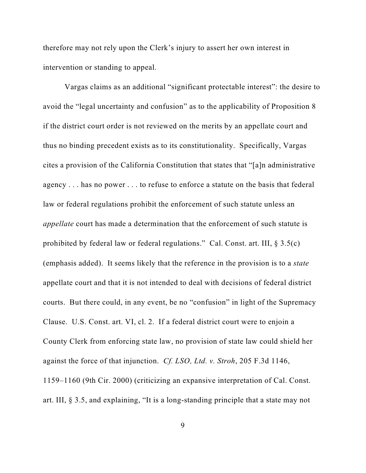therefore may not rely upon the Clerk's injury to assert her own interest in intervention or standing to appeal.

Vargas claims as an additional "significant protectable interest": the desire to avoid the "legal uncertainty and confusion" as to the applicability of Proposition 8 if the district court order is not reviewed on the merits by an appellate court and thus no binding precedent exists as to its constitutionality. Specifically, Vargas cites a provision of the California Constitution that states that "[a]n administrative agency . . . has no power . . . to refuse to enforce a statute on the basis that federal law or federal regulations prohibit the enforcement of such statute unless an *appellate* court has made a determination that the enforcement of such statute is prohibited by federal law or federal regulations." Cal. Const. art. III,  $\S 3.5(c)$ (emphasis added). It seems likely that the reference in the provision is to a *state* appellate court and that it is not intended to deal with decisions of federal district courts. But there could, in any event, be no "confusion" in light of the Supremacy Clause. U.S. Const. art. VI, cl. 2. If a federal district court were to enjoin a County Clerk from enforcing state law, no provision of state law could shield her against the force of that injunction. *Cf. LSO, Ltd. v. Stroh*, 205 F.3d 1146, 1159–1160 (9th Cir. 2000) (criticizing an expansive interpretation of Cal. Const. art. III, § 3.5, and explaining, "It is a long-standing principle that a state may not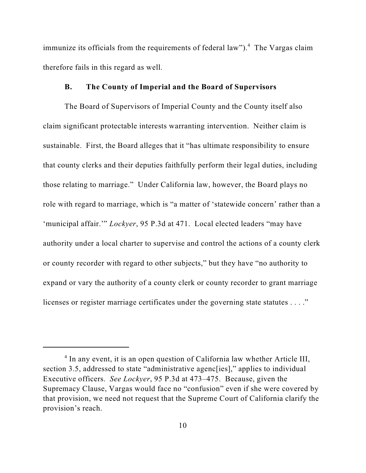immunize its officials from the requirements of federal law").<sup>4</sup> The Vargas claim therefore fails in this regard as well.

#### **B. The County of Imperial and the Board of Supervisors**

The Board of Supervisors of Imperial County and the County itself also claim significant protectable interests warranting intervention. Neither claim is sustainable. First, the Board alleges that it "has ultimate responsibility to ensure that county clerks and their deputies faithfully perform their legal duties, including those relating to marriage." Under California law, however, the Board plays no role with regard to marriage, which is "a matter of 'statewide concern' rather than a 'municipal affair.'" *Lockyer*, 95 P.3d at 471. Local elected leaders "may have authority under a local charter to supervise and control the actions of a county clerk or county recorder with regard to other subjects," but they have "no authority to expand or vary the authority of a county clerk or county recorder to grant marriage licenses or register marriage certificates under the governing state statutes . . . ."

 $4$  In any event, it is an open question of California law whether Article III, section 3.5, addressed to state "administrative agenc[ies]," applies to individual Executive officers. *See Lockyer*, 95 P.3d at 473–475. Because, given the Supremacy Clause, Vargas would face no "confusion" even if she were covered by that provision, we need not request that the Supreme Court of California clarify the provision's reach.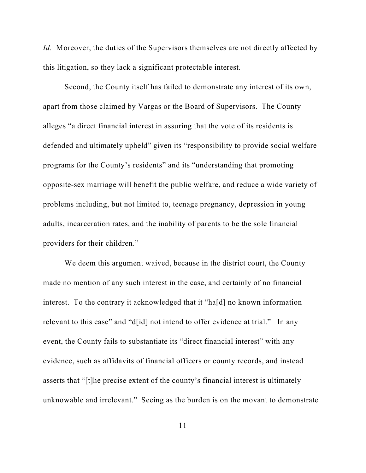*Id.* Moreover, the duties of the Supervisors themselves are not directly affected by this litigation, so they lack a significant protectable interest.

Second, the County itself has failed to demonstrate any interest of its own, apart from those claimed by Vargas or the Board of Supervisors. The County alleges "a direct financial interest in assuring that the vote of its residents is defended and ultimately upheld" given its "responsibility to provide social welfare programs for the County's residents" and its "understanding that promoting opposite-sex marriage will benefit the public welfare, and reduce a wide variety of problems including, but not limited to, teenage pregnancy, depression in young adults, incarceration rates, and the inability of parents to be the sole financial providers for their children."

We deem this argument waived, because in the district court, the County made no mention of any such interest in the case, and certainly of no financial interest. To the contrary it acknowledged that it "ha[d] no known information relevant to this case" and "d[id] not intend to offer evidence at trial." In any event, the County fails to substantiate its "direct financial interest" with any evidence, such as affidavits of financial officers or county records, and instead asserts that "[t]he precise extent of the county's financial interest is ultimately unknowable and irrelevant." Seeing as the burden is on the movant to demonstrate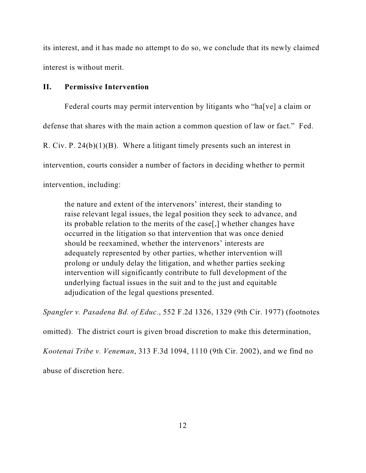its interest, and it has made no attempt to do so, we conclude that its newly claimed interest is without merit.

## **II. Permissive Intervention**

Federal courts may permit intervention by litigants who "ha[ve] a claim or defense that shares with the main action a common question of law or fact." Fed. R. Civ. P. 24(b)(1)(B). Where a litigant timely presents such an interest in intervention, courts consider a number of factors in deciding whether to permit intervention, including:

the nature and extent of the intervenors' interest, their standing to raise relevant legal issues, the legal position they seek to advance, and its probable relation to the merits of the case[,] whether changes have occurred in the litigation so that intervention that was once denied should be reexamined, whether the intervenors' interests are adequately represented by other parties, whether intervention will prolong or unduly delay the litigation, and whether parties seeking intervention will significantly contribute to full development of the underlying factual issues in the suit and to the just and equitable adjudication of the legal questions presented.

*Spangler v. Pasadena Bd. of Educ.*, 552 F.2d 1326, 1329 (9th Cir. 1977) (footnotes

omitted). The district court is given broad discretion to make this determination,

*Kootenai Tribe v. Veneman*, 313 F.3d 1094, 1110 (9th Cir. 2002), and we find no

abuse of discretion here.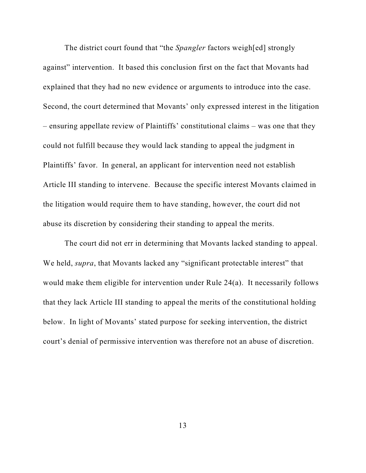The district court found that "the *Spangler* factors weigh[ed] strongly against" intervention. It based this conclusion first on the fact that Movants had explained that they had no new evidence or arguments to introduce into the case. Second, the court determined that Movants' only expressed interest in the litigation – ensuring appellate review of Plaintiffs' constitutional claims – was one that they could not fulfill because they would lack standing to appeal the judgment in Plaintiffs' favor. In general, an applicant for intervention need not establish Article III standing to intervene. Because the specific interest Movants claimed in the litigation would require them to have standing, however, the court did not abuse its discretion by considering their standing to appeal the merits.

The court did not err in determining that Movants lacked standing to appeal. We held, *supra*, that Movants lacked any "significant protectable interest" that would make them eligible for intervention under Rule 24(a). It necessarily follows that they lack Article III standing to appeal the merits of the constitutional holding below. In light of Movants' stated purpose for seeking intervention, the district court's denial of permissive intervention was therefore not an abuse of discretion.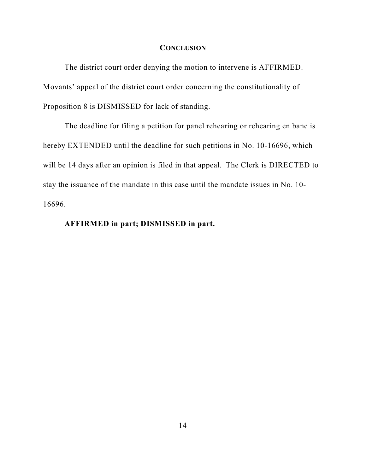#### **CONCLUSION**

The district court order denying the motion to intervene is AFFIRMED. Movants' appeal of the district court order concerning the constitutionality of Proposition 8 is DISMISSED for lack of standing.

The deadline for filing a petition for panel rehearing or rehearing en banc is hereby EXTENDED until the deadline for such petitions in No. 10-16696, which will be 14 days after an opinion is filed in that appeal. The Clerk is DIRECTED to stay the issuance of the mandate in this case until the mandate issues in No. 10- 16696.

# **AFFIRMED in part; DISMISSED in part.**